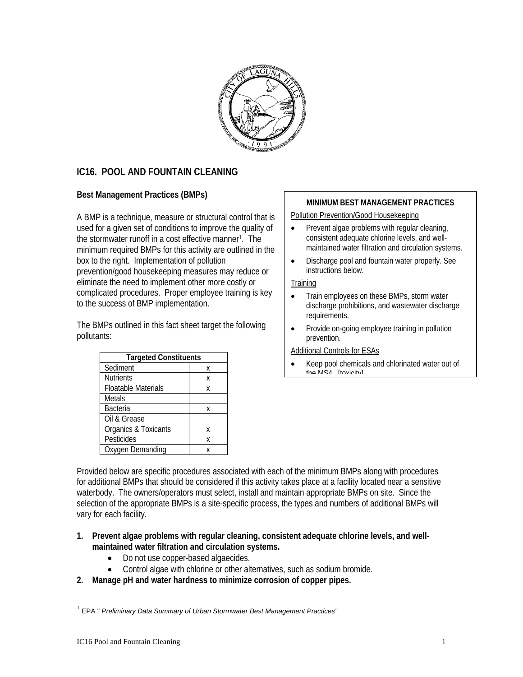

# **IC16. POOL AND FOUNTAIN CLEANING**

A BMP is a technique, measure or structural control that is used for a given set of conditions to improve the quality of the stormwater runoff in a cost effective manner<sup>1</sup>. The minimum required BMPs for this activity are outlined in the box to the right. Implementation of pollution prevention/good housekeeping measures may reduce or eliminate the need to implement other more costly or complicated procedures. Proper employee training is key to the success of BMP implementation.

The BMPs outlined in this fact sheet target the following pollutants:

| <b>Targeted Constituents</b> |   |
|------------------------------|---|
| Sediment                     | X |
| <b>Nutrients</b>             | X |
| <b>Floatable Materials</b>   | χ |
| <b>Metals</b>                |   |
| <b>Bacteria</b>              | Χ |
| Oil & Grease                 |   |
| Organics & Toxicants         | χ |
| Pesticides                   | Χ |
| Oxygen Demanding             |   |

# Best Management Practices (BMPs) **MINIMUM BEST MANAGEMENT PRACTICES**

Pollution Prevention/Good Housekeeping

- Prevent algae problems with regular cleaning. consistent adequate chlorine levels, and wellmaintained water filtration and circulation systems.
- Discharge pool and fountain water properly. See instructions below.

### **Training**

- Train employees on these BMPs, storm water discharge prohibitions, and wastewater discharge requirements.
- Provide on-going employee training in pollution prevention.

#### Additional Controls for ESAs

Keep pool chemicals and chlorinated water out of  $th_0$   $MSA$   $[$ tovicity]

Provided below are specific procedures associated with each of the minimum BMPs along with procedures for additional BMPs that should be considered if this activity takes place at a facility located near a sensitive waterbody. The owners/operators must select, install and maintain appropriate BMPs on site. Since the selection of the appropriate BMPs is a site-specific process, the types and numbers of additional BMPs will vary for each facility.

- **1. Prevent algae problems with regular cleaning, consistent adequate chlorine levels, and wellmaintained water filtration and circulation systems.** 
	- Do not use copper-based algaecides.
	- Control algae with chlorine or other alternatives, such as sodium bromide.
- **2. Manage pH and water hardness to minimize corrosion of copper pipes.**

 $\overline{a}$ 

<span id="page-0-0"></span><sup>1</sup> EPA " *Preliminary Data Summary of Urban Stormwater Best Management Practices"*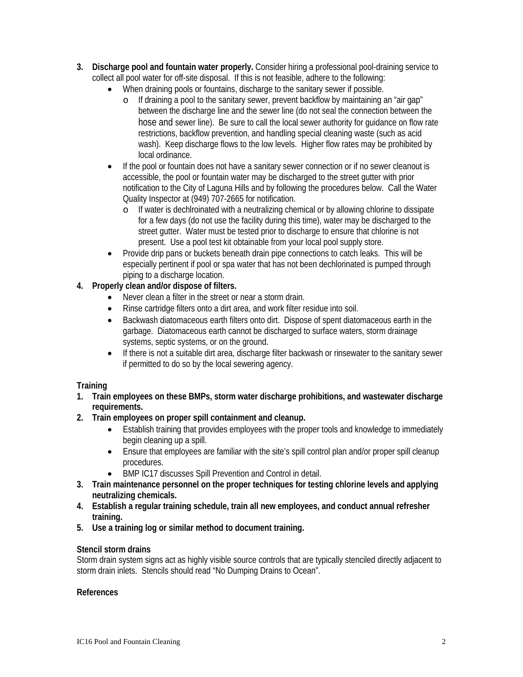- **3. Discharge pool and fountain water properly.** Consider hiring a professional pool-draining service to collect all pool water for off-site disposal. If this is not feasible, adhere to the following:
	- When draining pools or fountains, discharge to the sanitary sewer if possible.
		- o If draining a pool to the sanitary sewer, prevent backflow by maintaining an "air gap" between the discharge line and the sewer line (do not seal the connection between the hose and sewer line). Be sure to call the local sewer authority for guidance on flow rate restrictions, backflow prevention, and handling special cleaning waste (such as acid wash). Keep discharge flows to the low levels. Higher flow rates may be prohibited by local ordinance.
	- If the pool or fountain does not have a sanitary sewer connection or if no sewer cleanout is accessible, the pool or fountain water may be discharged to the street gutter with prior notification to the City of Laguna Hills and by following the procedures below. Call the Water Quality Inspector at (949) 707-2665 for notification.
		- o If water is dechlroinated with a neutralizing chemical or by allowing chlorine to dissipate for a few days (do not use the facility during this time), water may be discharged to the street gutter. Water must be tested prior to discharge to ensure that chlorine is not present. Use a pool test kit obtainable from your local pool supply store.
	- Provide drip pans or buckets beneath drain pipe connections to catch leaks. This will be especially pertinent if pool or spa water that has not been dechlorinated is pumped through piping to a discharge location.

# **4. Properly clean and/or dispose of filters.**

- Never clean a filter in the street or near a storm drain.
- Rinse cartridge filters onto a dirt area, and work filter residue into soil.
- Backwash diatomaceous earth filters onto dirt. Dispose of spent diatomaceous earth in the garbage. Diatomaceous earth cannot be discharged to surface waters, storm drainage systems, septic systems, or on the ground.
- If there is not a suitable dirt area, discharge filter backwash or rinsewater to the sanitary sewer if permitted to do so by the local sewering agency.

# **Training**

- **1. Train employees on these BMPs, storm water discharge prohibitions, and wastewater discharge requirements.**
- **2. Train employees on proper spill containment and cleanup.** 
	- Establish training that provides employees with the proper tools and knowledge to immediately begin cleaning up a spill.
	- Ensure that employees are familiar with the site's spill control plan and/or proper spill cleanup procedures.
	- BMP IC17 discusses Spill Prevention and Control in detail.
- **3. Train maintenance personnel on the proper techniques for testing chlorine levels and applying neutralizing chemicals.**
- **4. Establish a regular training schedule, train all new employees, and conduct annual refresher training.**
- **5. Use a training log or similar method to document training.**

# **Stencil storm drains**

Storm drain system signs act as highly visible source controls that are typically stenciled directly adjacent to storm drain inlets. Stencils should read "No Dumping Drains to Ocean".

# **References**